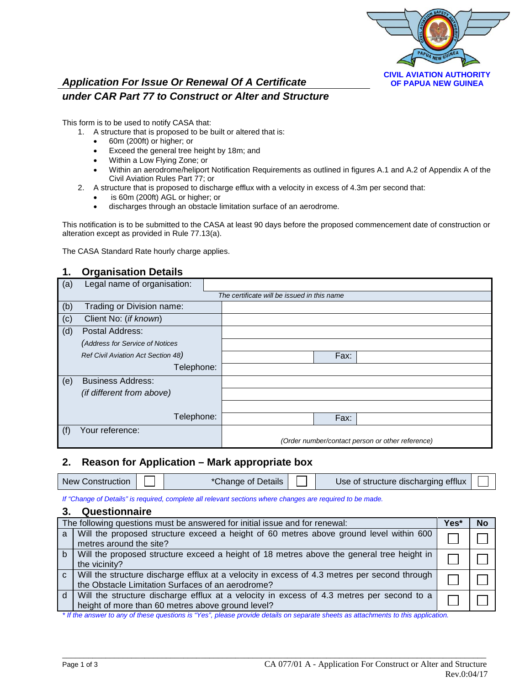

# *Application For Issue Or Renewal Of A Certificate under CAR Part 77 to Construct or Alter and Structure*

This form is to be used to notify CASA that:

- 1. A structure that is proposed to be built or altered that is:
	- 60m (200ft) or higher; or
	- Exceed the general tree height by 18m; and
	- Within a Low Flying Zone; or
	- Within an aerodrome/heliport Notification Requirements as outlined in figures A.1 and A.2 of Appendix A of the Civil Aviation Rules Part 77; or
- 2. A structure that is proposed to discharge efflux with a velocity in excess of 4.3m per second that:
	- is 60m (200ft) AGL or higher; or
	- discharges through an obstacle limitation surface of an aerodrome.

This notification is to be submitted to the CASA at least 90 days before the proposed commencement date of construction or alteration except as provided in Rule 77.13(a).

The CASA Standard Rate hourly charge applies.

## **1. Organisation Details**

| (a) | Legal name of organisation:        |                                                  |
|-----|------------------------------------|--------------------------------------------------|
|     |                                    | The certificate will be issued in this name      |
| (b) | Trading or Division name:          |                                                  |
| (c) | Client No: (if known)              |                                                  |
| (d) | Postal Address:                    |                                                  |
|     | (Address for Service of Notices    |                                                  |
|     | Ref Civil Aviation Act Section 48) | Fax:                                             |
|     | Telephone:                         |                                                  |
| (e) | <b>Business Address:</b>           |                                                  |
|     | (if different from above)          |                                                  |
|     |                                    |                                                  |
|     | Telephone:                         | Fax:                                             |
| (f) | Your reference:                    |                                                  |
|     |                                    | (Order number/contact person or other reference) |

#### **2. Reason for Application – Mark appropriate box**

| <b>New Construction</b> | *Change of Details | Use of structure discharging efflux |  |
|-------------------------|--------------------|-------------------------------------|--|
|                         |                    |                                     |  |

*If "Change of Details" is required, complete all relevant sections where changes are required to be made.*

## **3. Questionnaire**

| The following questions must be answered for initial issue and for renewal: |                                                                                                                                                   | Yes* | No |
|-----------------------------------------------------------------------------|---------------------------------------------------------------------------------------------------------------------------------------------------|------|----|
| a                                                                           | Will the proposed structure exceed a height of 60 metres above ground level within 600<br>metres around the site?                                 |      |    |
| $b$                                                                         | Will the proposed structure exceed a height of 18 metres above the general tree height in<br>the vicinity?                                        |      |    |
| $\mathbf{C}$                                                                | Will the structure discharge efflux at a velocity in excess of 4.3 metres per second through<br>the Obstacle Limitation Surfaces of an aerodrome? |      |    |
| <sub>d</sub>                                                                | Will the structure discharge efflux at a velocity in excess of 4.3 metres per second to a<br>height of more than 60 metres above ground level?    |      |    |

\_\_\_\_\_\_\_\_\_\_\_\_\_\_\_\_\_\_\_\_\_\_\_\_\_\_\_\_\_\_\_\_\_\_\_\_\_\_\_\_\_\_\_\_\_\_\_\_\_\_\_\_\_\_\_\_\_\_\_\_\_\_\_\_\_\_\_\_\_\_\_\_\_\_\_\_\_\_\_\_\_\_\_\_\_\_\_\_\_\_\_\_\_\_\_\_\_\_

*\* If the answer to any of these questions is "Yes", please provide details on separate sheets as attachments to this application.*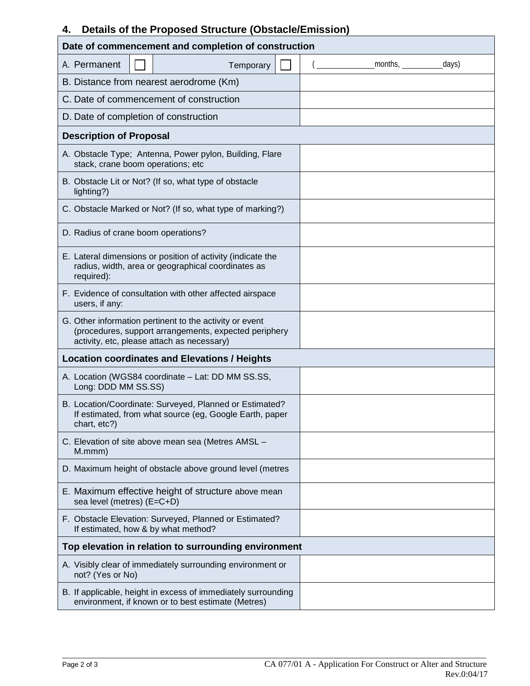# **4. Details of the Proposed Structure (Obstacle/Emission)**

| Date of commencement and completion of construction                                                                                                            |                         |  |  |
|----------------------------------------------------------------------------------------------------------------------------------------------------------------|-------------------------|--|--|
| A. Permanent<br>Temporary                                                                                                                                      | $months, \_\_$<br>days) |  |  |
| B. Distance from nearest aerodrome (Km)                                                                                                                        |                         |  |  |
| C. Date of commencement of construction                                                                                                                        |                         |  |  |
| D. Date of completion of construction                                                                                                                          |                         |  |  |
| <b>Description of Proposal</b>                                                                                                                                 |                         |  |  |
| A. Obstacle Type; Antenna, Power pylon, Building, Flare<br>stack, crane boom operations; etc                                                                   |                         |  |  |
| B. Obstacle Lit or Not? (If so, what type of obstacle<br>lighting?)                                                                                            |                         |  |  |
| C. Obstacle Marked or Not? (If so, what type of marking?)                                                                                                      |                         |  |  |
| D. Radius of crane boom operations?                                                                                                                            |                         |  |  |
| E. Lateral dimensions or position of activity (indicate the<br>radius, width, area or geographical coordinates as<br>required):                                |                         |  |  |
| F. Evidence of consultation with other affected airspace<br>users, if any:                                                                                     |                         |  |  |
| G. Other information pertinent to the activity or event<br>(procedures, support arrangements, expected periphery<br>activity, etc, please attach as necessary) |                         |  |  |
| <b>Location coordinates and Elevations / Heights</b>                                                                                                           |                         |  |  |
| A. Location (WGS84 coordinate - Lat: DD MM SS.SS,<br>Long: DDD MM SS.SS)                                                                                       |                         |  |  |
| B. Location/Coordinate: Surveyed, Planned or Estimated?<br>If estimated, from what source (eg, Google Earth, paper<br>chart, etc?)                             |                         |  |  |
| C. Elevation of site above mean sea (Metres AMSL -<br>M.mmm)                                                                                                   |                         |  |  |
| D. Maximum height of obstacle above ground level (metres                                                                                                       |                         |  |  |
| E. Maximum effective height of structure above mean<br>sea level (metres) (E=C+D)                                                                              |                         |  |  |
| F. Obstacle Elevation: Surveyed, Planned or Estimated?<br>If estimated, how & by what method?                                                                  |                         |  |  |
| Top elevation in relation to surrounding environment                                                                                                           |                         |  |  |
| A. Visibly clear of immediately surrounding environment or<br>not? (Yes or No)                                                                                 |                         |  |  |
| B. If applicable, height in excess of immediately surrounding<br>environment, if known or to best estimate (Metres)                                            |                         |  |  |

\_\_\_\_\_\_\_\_\_\_\_\_\_\_\_\_\_\_\_\_\_\_\_\_\_\_\_\_\_\_\_\_\_\_\_\_\_\_\_\_\_\_\_\_\_\_\_\_\_\_\_\_\_\_\_\_\_\_\_\_\_\_\_\_\_\_\_\_\_\_\_\_\_\_\_\_\_\_\_\_\_\_\_\_\_\_\_\_\_\_\_\_\_\_\_\_\_\_